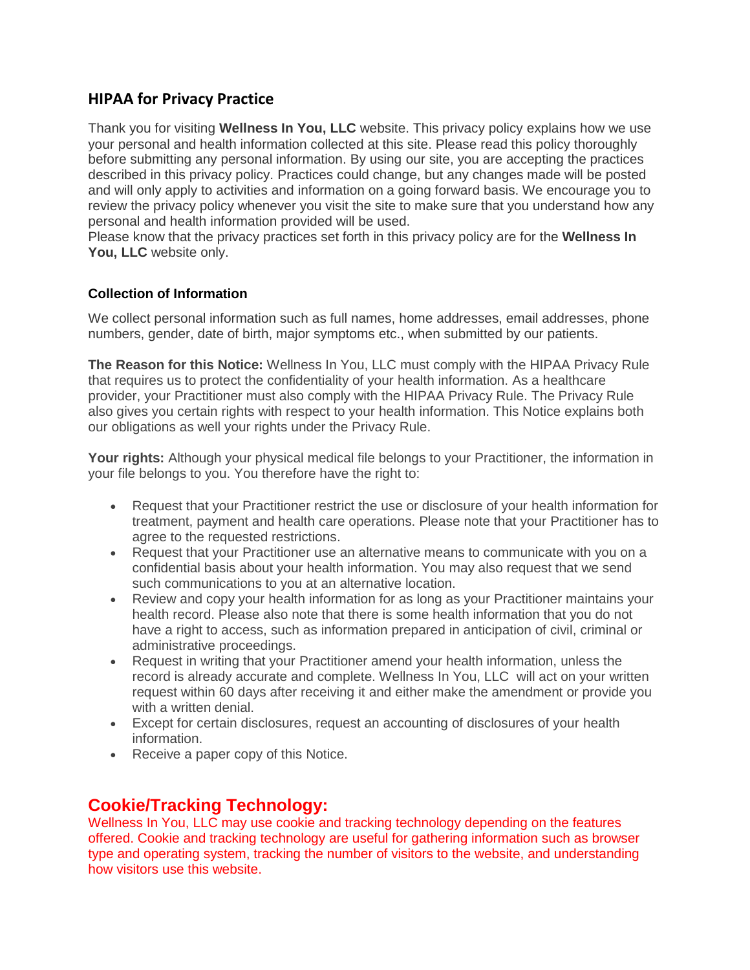### **HIPAA for Privacy Practice**

Thank you for visiting **Wellness In You, LLC** website. This privacy policy explains how we use your personal and health information collected at this site. Please read this policy thoroughly before submitting any personal information. By using our site, you are accepting the practices described in this privacy policy. Practices could change, but any changes made will be posted and will only apply to activities and information on a going forward basis. We encourage you to review the privacy policy whenever you visit the site to make sure that you understand how any personal and health information provided will be used.

Please know that the privacy practices set forth in this privacy policy are for the **Wellness In You, LLC** website only.

#### **Collection of Information**

We collect personal information such as full names, home addresses, email addresses, phone numbers, gender, date of birth, major symptoms etc., when submitted by our patients.

**The Reason for this Notice:** Wellness In You, LLC must comply with the HIPAA Privacy Rule that requires us to protect the confidentiality of your health information. As a healthcare provider, your Practitioner must also comply with the HIPAA Privacy Rule. The Privacy Rule also gives you certain rights with respect to your health information. This Notice explains both our obligations as well your rights under the Privacy Rule.

**Your rights:** Although your physical medical file belongs to your Practitioner, the information in your file belongs to you. You therefore have the right to:

- Request that your Practitioner restrict the use or disclosure of your health information for treatment, payment and health care operations. Please note that your Practitioner has to agree to the requested restrictions.
- Request that your Practitioner use an alternative means to communicate with you on a confidential basis about your health information. You may also request that we send such communications to you at an alternative location.
- Review and copy your health information for as long as your Practitioner maintains your health record. Please also note that there is some health information that you do not have a right to access, such as information prepared in anticipation of civil, criminal or administrative proceedings.
- Request in writing that your Practitioner amend your health information, unless the record is already accurate and complete. Wellness In You, LLC will act on your written request within 60 days after receiving it and either make the amendment or provide you with a written denial.
- Except for certain disclosures, request an accounting of disclosures of your health information.
- Receive a paper copy of this Notice.

### **Cookie/Tracking Technology:**

Wellness In You, LLC may use cookie and tracking technology depending on the features offered. Cookie and tracking technology are useful for gathering information such as browser type and operating system, tracking the number of visitors to the website, and understanding how visitors use this website.